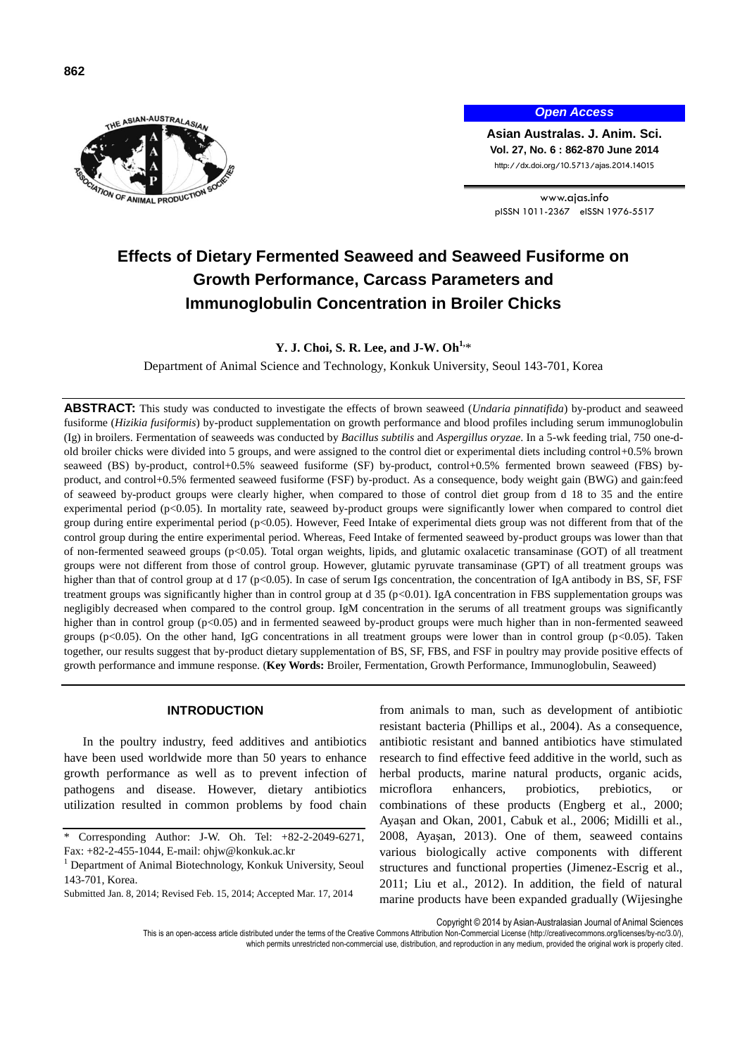



*Open Access*

**Asian Australas. J. Anim. Sci. Vol. 27, No. 6 : 862-870 June 2014** http://dx.doi.org/10.5713/ajas.2014.14015

www.ajas.info pISSN 1011-2367 eISSN 1976-5517

# **Effects of Dietary Fermented Seaweed and Seaweed Fusiforme on Growth Performance, Carcass Parameters and Immunoglobulin Concentration in Broiler Chicks**

**Y. J. Choi, S. R. Lee, and J-W. Oh1,**\*

Department of Animal Science and Technology, Konkuk University, Seoul 143-701, Korea

**ABSTRACT:** This study was conducted to investigate the effects of brown seaweed (*Undaria pinnatifida*) by-product and seaweed fusiforme (*Hizikia fusiformis*) by-product supplementation on growth performance and blood profiles including serum immunoglobulin (Ig) in broilers. Fermentation of seaweeds was conducted by *Bacillus subtilis* and *Aspergillus oryzae*. In a 5-wk feeding trial, 750 one-dold broiler chicks were divided into 5 groups, and were assigned to the control diet or experimental diets including control+0.5% brown seaweed (BS) by-product, control+0.5% seaweed fusiforme (SF) by-product, control+0.5% fermented brown seaweed (FBS) byproduct, and control+0.5% fermented seaweed fusiforme (FSF) by-product. As a consequence, body weight gain (BWG) and gain:feed of seaweed by-product groups were clearly higher, when compared to those of control diet group from d 18 to 35 and the entire experimental period (p<0.05). In mortality rate, seaweed by-product groups were significantly lower when compared to control diet group during entire experimental period (p<0.05). However, Feed Intake of experimental diets group was not different from that of the control group during the entire experimental period. Whereas, Feed Intake of fermented seaweed by-product groups was lower than that of non-fermented seaweed groups (p<0.05). Total organ weights, lipids, and glutamic oxalacetic transaminase (GOT) of all treatment groups were not different from those of control group. However, glutamic pyruvate transaminase (GPT) of all treatment groups was higher than that of control group at d 17 (p<0.05). In case of serum Igs concentration, the concentration of IgA antibody in BS, SF, FSF treatment groups was significantly higher than in control group at d 35 (p<0.01). IgA concentration in FBS supplementation groups was negligibly decreased when compared to the control group. IgM concentration in the serums of all treatment groups was significantly higher than in control group (p<0.05) and in fermented seaweed by-product groups were much higher than in non-fermented seaweed groups (p<0.05). On the other hand, IgG concentrations in all treatment groups were lower than in control group (p<0.05). Taken together, our results suggest that by-product dietary supplementation of BS, SF, FBS, and FSF in poultry may provide positive effects of growth performance and immune response. (**Key Words:** Broiler, Fermentation, Growth Performance, Immunoglobulin, Seaweed)

## **INTRODUCTION**

In the poultry industry, feed additives and antibiotics have been used worldwide more than 50 years to enhance growth performance as well as to prevent infection of pathogens and disease. However, dietary antibiotics utilization resulted in common problems by food chain

from animals to man, such as development of antibiotic resistant bacteria (Phillips et al., 2004). As a consequence, antibiotic resistant and banned antibiotics have stimulated research to find effective feed additive in the world, such as herbal products, marine natural products, organic acids, microflora enhancers, probiotics, prebiotics, or combinations of these products (Engberg et al., 2000; Ayaşan and Okan, 2001, Cabuk et al., 2006; Midilli et al., 2008, Ayaşan, 2013). One of them, seaweed contains various biologically active components with different structures and functional properties (Jimenez-Escrig et al., 2011; Liu et al., 2012). In addition, the field of natural marine products have been expanded gradually (Wijesinghe

Copyright © 2014 by Asian-Australasian Journal of Animal Sciences

This is an open-access article distributed under the terms of the Creative Commons Attribution Non-Commercial License [\(http://creativecommons.org/licenses/by-nc/3.0/\),](http://creativecommons.org/licenses/by-nc/3.0/) which permits unrestricted non-commercial use, distribution, and reproduction in any medium, provided the original work is properly cited.

<sup>\*</sup> Corresponding Author: J-W. Oh. Tel: +82-2-2049-6271, Fax: +82-2-455-1044, E-mail: [ohjw@konkuk.ac.kr](mailto:ohjw@konkuk.ac.kr)

<sup>&</sup>lt;sup>1</sup> Department of Animal Biotechnology, Konkuk University, Seoul 143-701, Korea.

Submitted Jan. 8, 2014; Revised Feb. 15, 2014; Accepted Mar. 17, 2014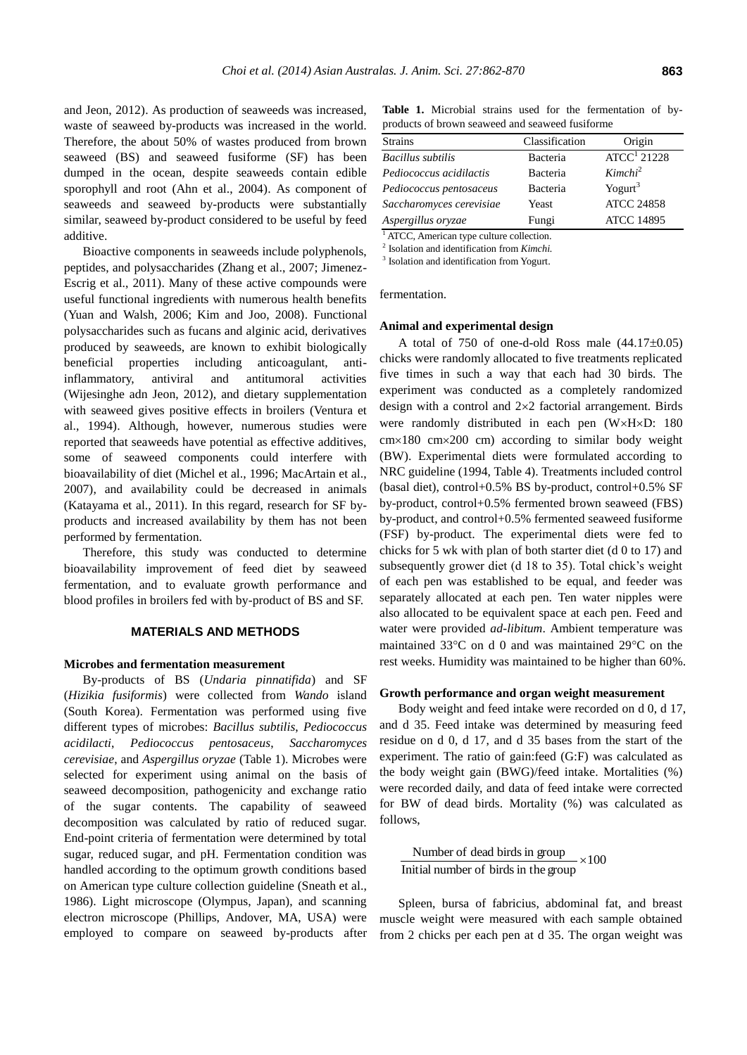and Jeon, 2012). As production of seaweeds was increased, waste of seaweed by-products was increased in the world. Therefore, the about 50% of wastes produced from brown seaweed (BS) and seaweed fusiforme (SF) has been dumped in the ocean, despite seaweeds contain edible sporophyll and root (Ahn et al., 2004). As component of seaweeds and seaweed by-products were substantially similar, seaweed by-product considered to be useful by feed additive.

Bioactive components in seaweeds include polyphenols, peptides, and polysaccharides (Zhang et al., 2007; Jimenez-Escrig et al., 2011). Many of these active compounds were useful functional ingredients with numerous health benefits (Yuan and Walsh, 2006; Kim and Joo, 2008). Functional polysaccharides such as fucans and alginic acid, derivatives produced by seaweeds, are known to exhibit biologically beneficial properties including anticoagulant, antiinflammatory, antiviral and antitumoral activities (Wijesinghe adn Jeon, 2012), and dietary supplementation with seaweed gives positive effects in broilers (Ventura et al., 1994). Although, however, numerous studies were reported that seaweeds have potential as effective additives, some of seaweed components could interfere with bioavailability of diet (Michel et al., 1996; MacArtain et al., 2007), and availability could be decreased in animals (Katayama et al., 2011). In this regard, research for SF byproducts and increased availability by them has not been performed by fermentation.

Therefore, this study was conducted to determine bioavailability improvement of feed diet by seaweed fermentation, and to evaluate growth performance and blood profiles in broilers fed with by-product of BS and SF.

## **MATERIALS AND METHODS**

#### **Microbes and fermentation measurement**

By-products of BS (*Undaria pinnatifida*) and SF (*Hizikia fusiformis*) were collected from *Wando* island (South Korea). Fermentation was performed using five different types of microbes: *Bacillus subtilis*, *Pediococcus acidilacti*, *Pediococcus pentosaceus*, *Saccharomyces cerevisiae*, and *Aspergillus oryzae* (Table 1). Microbes were selected for experiment using animal on the basis of seaweed decomposition, pathogenicity and exchange ratio of the sugar contents. The capability of seaweed decomposition was calculated by ratio of reduced sugar. End-point criteria of fermentation were determined by total sugar, reduced sugar, and pH. Fermentation condition was handled according to the optimum growth conditions based on American type culture collection guideline (Sneath et al., 1986). Light microscope (Olympus, Japan), and scanning electron microscope (Phillips, Andover, MA, USA) were employed to compare on seaweed by-products after

**Table 1.** Microbial strains used for the fermentation of byproducts of brown seaweed and seaweed fusiforme

| <b>Strains</b>           | Classification | Origin                  |
|--------------------------|----------------|-------------------------|
| <b>Bacillus</b> subtilis | Bacteria       | ATCC <sup>1</sup> 21228 |
| Pediococcus acidilactis  | Bacteria       | Kimchi <sup>2</sup>     |
| Pediococcus pentosaceus  | Bacteria       | Yogurt $3$              |
| Saccharomyces cerevisiae | Yeast          | <b>ATCC 24858</b>       |
| Aspergillus oryzae       | Fungi          | <b>ATCC 14895</b>       |

<sup>1</sup> ATCC, American type culture collection.

2 Isolation and identification from *Kimchi.*

3 Isolation and identification from Yogurt.

fermentation.

#### **Animal and experimental design**

A total of 750 of one-d-old Ross male  $(44.17\pm0.05)$ chicks were randomly allocated to five treatments replicated five times in such a way that each had 30 birds. The experiment was conducted as a completely randomized design with a control and  $2\times 2$  factorial arrangement. Birds were randomly distributed in each pen (W×H×D: 180  $cm \times 180$  cm $\times 200$  cm) according to similar body weight (BW). Experimental diets were formulated according to NRC guideline (1994, Table 4). Treatments included control (basal diet), control+0.5% BS by-product, control+0.5% SF by-product, control+0.5% fermented brown seaweed (FBS) by-product, and control+0.5% fermented seaweed fusiforme (FSF) by-product. The experimental diets were fed to chicks for 5 wk with plan of both starter diet (d 0 to 17) and subsequently grower diet (d 18 to 35). Total chick's weight of each pen was established to be equal, and feeder was separately allocated at each pen. Ten water nipples were also allocated to be equivalent space at each pen. Feed and water were provided *ad-libitum*. Ambient temperature was maintained  $33^{\circ}$ C on d 0 and was maintained  $29^{\circ}$ C on the rest weeks. Humidity was maintained to be higher than 60%.

#### **Growth performance and organ weight measurement**

Body weight and feed intake were recorded on d 0, d 17, and d 35. Feed intake was determined by measuring feed residue on d 0, d 17, and d 35 bases from the start of the experiment. The ratio of gain:feed (G:F) was calculated as the body weight gain (BWG)/feed intake. Mortalities (%) were recorded daily, and data of feed intake were corrected for BW of dead birds. Mortality (%) was calculated as follows,

 $\times 100$ Initial number of birds in the group Number of dead birds in group

Spleen, bursa of fabricius, abdominal fat, and breast muscle weight were measured with each sample obtained from 2 chicks per each pen at d 35. The organ weight was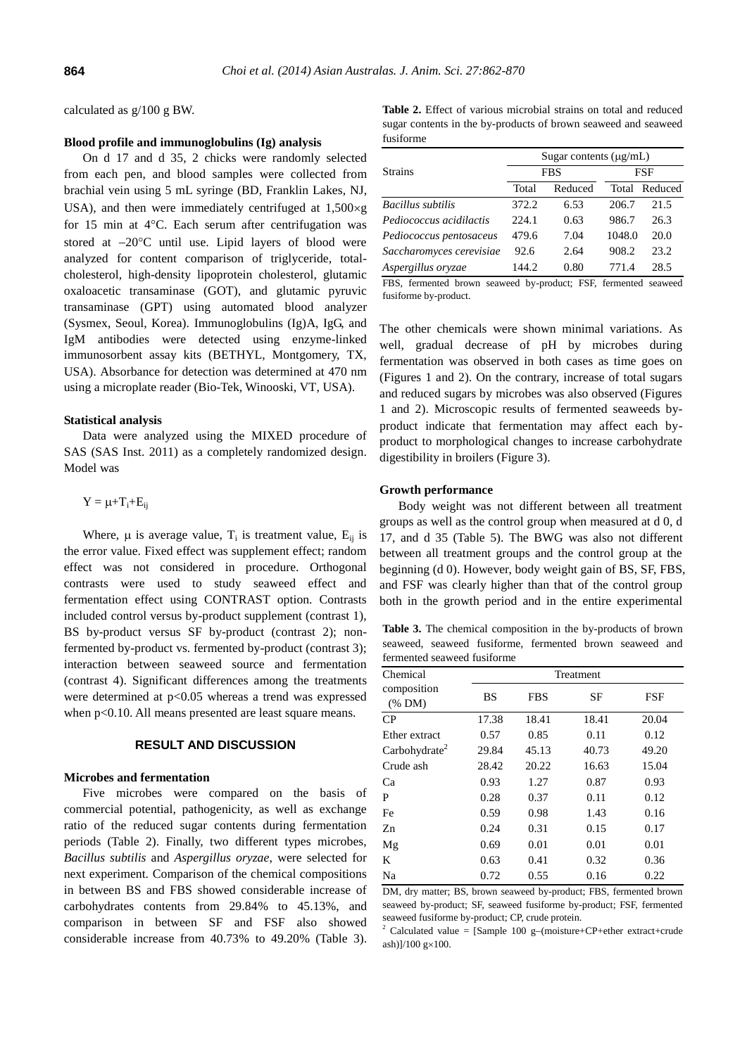calculated as g/100 g BW.

# **Blood profile and immunoglobulins (Ig) analysis**

On d 17 and d 35, 2 chicks were randomly selected from each pen, and blood samples were collected from brachial vein using 5 mL syringe (BD, Franklin Lakes, NJ, USA), and then were immediately centrifuged at  $1,500 \times g$ for 15 min at  $4^{\circ}$ C. Each serum after centrifugation was stored at  $-20^{\circ}$ C until use. Lipid layers of blood were analyzed for content comparison of triglyceride, totalcholesterol, [high-density lipoprotein](http://en.wikipedia.org/wiki/High-density_lipoprotein) cholesterol, [glutamic](http://terms.naver.com/entry.nhn?docId=479579&cid=2905&categoryId=2905)  [oxaloacetic transaminase](http://terms.naver.com/entry.nhn?docId=479579&cid=2905&categoryId=2905) (GOT), and glutamic pyruvic transaminase (GPT) using automated blood analyzer (Sysmex, Seoul, Korea). Immunoglobulins (Ig)A, IgG, and IgM antibodies were detected using enzyme-linked immunosorbent assay kits (BETHYL, Montgomery, TX, USA). Absorbance for detection was determined at 470 nm using a microplate reader (Bio-Tek, Winooski, VT, USA).

#### **Statistical analysis**

Data were analyzed using the MIXED procedure of SAS (SAS Inst. 2011) as a completely randomized design. Model was

$$
Y=\mu\text{+}T_i\text{+}E_{ij}
$$

Where,  $\mu$  is average value,  $T_i$  is treatment value,  $E_{ij}$  is the error value. Fixed effect was supplement effect; random effect was not considered in procedure. Orthogonal contrasts were used to study seaweed effect and fermentation effect using CONTRAST option. Contrasts included control versus by-product supplement (contrast 1), BS by-product versus SF by-product (contrast 2); nonfermented by-product vs. fermented by-product (contrast 3); interaction between seaweed source and fermentation (contrast 4). Significant differences among the treatments were determined at  $p<0.05$  whereas a trend was expressed when  $p<0.10$ . All means presented are least square means.

# **RESULT AND DISCUSSION**

# **Microbes and fermentation**

Five microbes were compared on the basis of commercial potential, pathogenicity, as well as exchange ratio of the reduced sugar contents during fermentation periods (Table 2). Finally, two different types microbes, *Bacillus subtilis* and *Aspergillus oryzae*, were selected for next experiment. Comparison of the chemical compositions in between BS and FBS showed considerable increase of carbohydrates contents from 29.84% to 45.13%, and comparison in between SF and FSF also showed considerable increase from 40.73% to 49.20% (Table 3).

**Table 2.** Effect of various microbial strains on total and reduced sugar contents in the by-products of brown seaweed and seaweed fusiforme

|                          | Sugar contents $(\mu g/mL)$ |            |        |         |  |  |  |  |
|--------------------------|-----------------------------|------------|--------|---------|--|--|--|--|
| <b>Strains</b>           |                             | <b>FBS</b> | FSF    |         |  |  |  |  |
|                          | Total                       | Reduced    | Total  | Reduced |  |  |  |  |
| Bacillus subtilis        | 372.2                       | 6.53       | 206.7  | 21.5    |  |  |  |  |
| Pediococcus acidilactis  | 224.1                       | 0.63       | 986.7  | 26.3    |  |  |  |  |
| Pediococcus pentosaceus  | 479.6                       | 7.04       | 1048.0 | 20.0    |  |  |  |  |
| Saccharomyces cerevisiae | 92.6                        | 2.64       | 908.2  | 23.2    |  |  |  |  |
| Aspergillus oryzae       | 144.2                       | 0.80       | 7714   | 28.5    |  |  |  |  |

FBS, fermented brown seaweed by-product; FSF, fermented seaweed fusiforme by-product.

The other chemicals were shown minimal variations. As well, gradual decrease of pH by microbes during fermentation was observed in both cases as time goes on (Figures 1 and 2). On the contrary, increase of total sugars and reduced sugars by microbes was also observed (Figures 1 and 2). Microscopic results of fermented seaweeds byproduct indicate that fermentation may affect each byproduct to morphological changes to increase carbohydrate digestibility in broilers (Figure 3).

#### **Growth performance**

Body weight was not different between all treatment groups as well as the control group when measured at d 0, d 17, and d 35 (Table 5). The BWG was also not different between all treatment groups and the control group at the beginning (d 0). However, body weight gain of BS, SF, FBS, and FSF was clearly higher than that of the control group both in the growth period and in the entire experimental

**Table 3.** The chemical composition in the by-products of brown seaweed, seaweed fusiforme, fermented brown seaweed and fermented seaweed fusiforme

| Chemical                  | Treatment |            |       |       |  |  |  |  |  |  |
|---------------------------|-----------|------------|-------|-------|--|--|--|--|--|--|
| composition<br>$(\%$ DM)  | <b>BS</b> | <b>FBS</b> | SF    | FSF   |  |  |  |  |  |  |
| CP                        | 17.38     | 18.41      | 18.41 | 20.04 |  |  |  |  |  |  |
| Ether extract             | 0.57      | 0.85       | 0.11  | 0.12  |  |  |  |  |  |  |
| Carbohydrate <sup>2</sup> | 29.84     | 45.13      | 40.73 | 49.20 |  |  |  |  |  |  |
| Crude ash                 | 28.42     | 20.22      | 16.63 | 15.04 |  |  |  |  |  |  |
| Ca                        | 0.93      | 1.27       | 0.87  | 0.93  |  |  |  |  |  |  |
| P                         | 0.28      | 0.37       | 0.11  | 0.12  |  |  |  |  |  |  |
| Fe                        | 0.59      | 0.98       | 1.43  | 0.16  |  |  |  |  |  |  |
| Zn                        | 0.24      | 0.31       | 0.15  | 0.17  |  |  |  |  |  |  |
| Mg                        | 0.69      | 0.01       | 0.01  | 0.01  |  |  |  |  |  |  |
| K                         | 0.63      | 0.41       | 0.32  | 0.36  |  |  |  |  |  |  |
| Na                        | 0.72      | 0.55       | 0.16  | 0.22  |  |  |  |  |  |  |

DM, dry matter; BS, brown seaweed by-product; FBS, fermented brown seaweed by-product; SF, seaweed fusiforme by-product; FSF, fermented seaweed fusiforme by-product; CP, crude protein.

<sup>2</sup> Calculated value = [Sample 100 g-(moisture+CP+ether extract+crude ash)]/100  $g \times 100$ .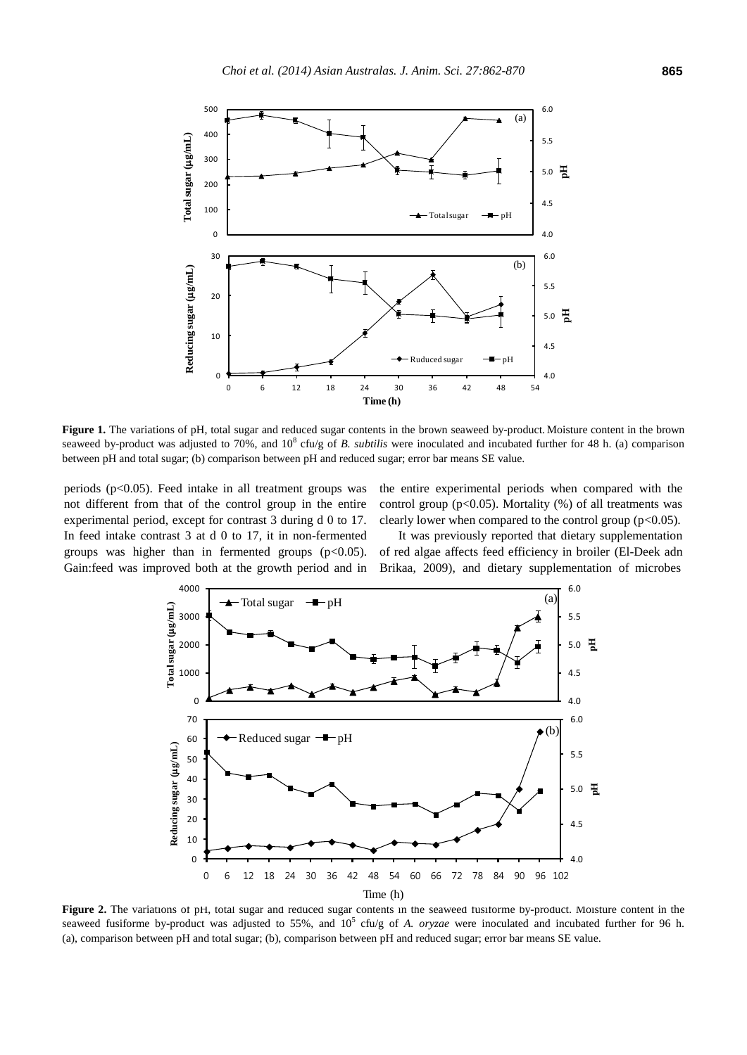

**Figure 1.** The variations of pH, total sugar and reduced sugar contents in the brown seaweed by-product. Moisture content in the brown seaweed by-product was adjusted to 70%, and  $10^8$  cfu/g of *B. subtilis* were inoculated and incubated further for 48 h. (a) comparison between pH and total sugar; (b) comparison between pH and reduced sugar; error bar means SE value.

periods  $(p<0.05)$ . Feed intake in all treatment groups was not different from that of the control group in the entire experimental period, except for contrast 3 during d 0 to 17. In feed intake contrast 3 at d 0 to 17, it in non-fermented groups was higher than in fermented groups  $(p<0.05)$ . Gain:feed was improved both at the growth period and in the entire experimental periods when compared with the control group ( $p<0.05$ ). Mortality (%) of all treatments was clearly lower when compared to the control group  $(p<0.05)$ .

It was previously reported that dietary supplementation of red algae affects feed efficiency in broiler (El-Deek adn Brikaa, 2009), and dietary supplementation of microbes



**Figure 2.** The variations of pH, total sugar and reduced sugar contents in the seaweed fusiforme by-product. Moisture content in the seaweed fusiforme by-product was adjusted to 55%, and  $10^5$  cfu/g of *A. oryzae* were inoculated and incubated further for 96 h. (a), comparison between pH and total sugar; (b), comparison between pH and reduced sugar; error bar means SE value.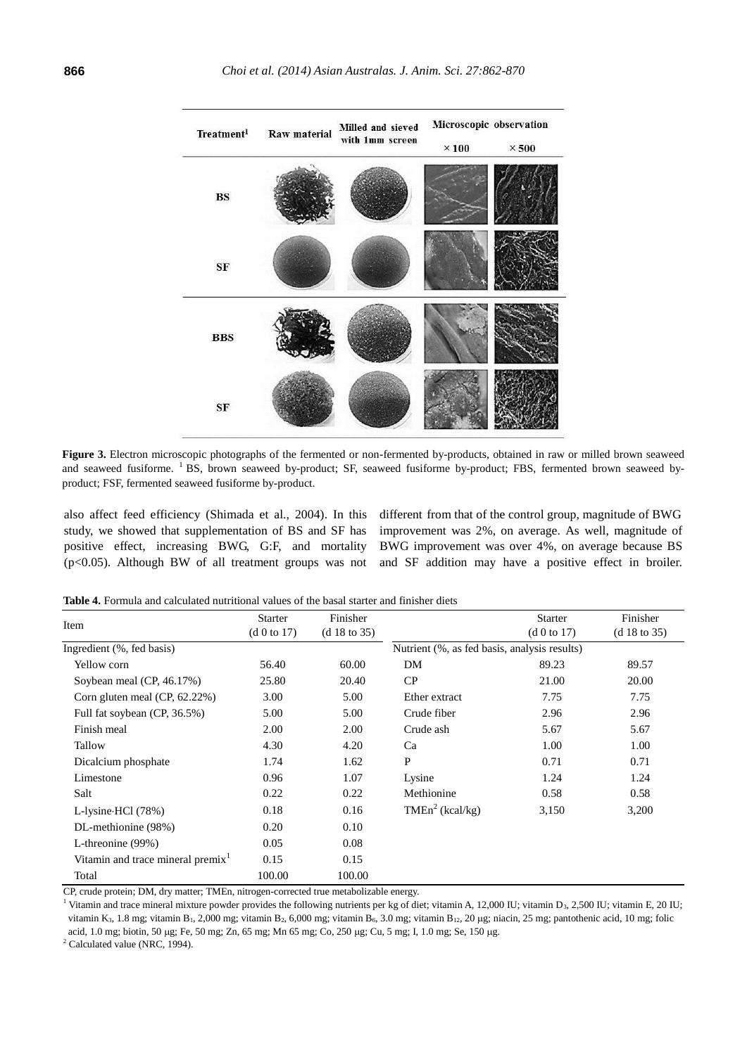

**Figure 3.** Electron microscopic photographs of the fermented or non-fermented by-products, obtained in raw or milled brown seaweed and seaweed fusiforme. <sup>1</sup> BS, brown seaweed by-product; SF, seaweed fusiforme by-product; FBS, fermented brown seaweed byproduct; FSF, fermented seaweed fusiforme by-product.

also affect feed efficiency (Shimada et al., 2004). In this study, we showed that supplementation of BS and SF has positive effect, increasing BWG, G:F, and mortality (p<0.05). Although BW of all treatment groups was not different from that of the control group, magnitude of BWG improvement was 2%, on average. As well, magnitude of BWG improvement was over 4%, on average because BS and SF addition may have a positive effect in broiler.

**Table 4.** Formula and calculated nutritional values of the basal starter and finisher diets

| Item                                          | <b>Starter</b><br>(d 0 to 17) | Finisher<br>(d 18 to 35) |                                              | <b>Starter</b><br>(d 0 to 17) | Finisher<br>(d 18 to 35) |
|-----------------------------------------------|-------------------------------|--------------------------|----------------------------------------------|-------------------------------|--------------------------|
| Ingredient (%, fed basis)                     |                               |                          | Nutrient (%, as fed basis, analysis results) |                               |                          |
| Yellow corn                                   | 56.40                         | 60.00                    | DM                                           | 89.23                         | 89.57                    |
| Soybean meal (CP, 46.17%)                     | 25.80                         | 20.40                    | CP                                           | 21.00                         | 20.00                    |
| Corn gluten meal $(CP, 62.22\%)$              | 3.00                          | 5.00                     | Ether extract                                | 7.75                          | 7.75                     |
| Full fat soybean (CP, 36.5%)                  | 5.00                          | 5.00                     | Crude fiber                                  | 2.96                          | 2.96                     |
| Finish meal                                   | 2.00                          | 2.00                     | Crude ash                                    | 5.67                          | 5.67                     |
| Tallow                                        | 4.30                          | 4.20                     | Ca                                           | 1.00                          | 1.00                     |
| Dicalcium phosphate                           | 1.74                          | 1.62                     | P                                            | 0.71                          | 0.71                     |
| Limestone                                     | 0.96                          | 1.07                     | Lysine                                       | 1.24                          | 1.24                     |
| Salt                                          | 0.22                          | 0.22                     | Methionine                                   | 0.58                          | 0.58                     |
| L-lysine $\cdot$ HCl $(78%)$                  | 0.18                          | 0.16                     | TMEn <sup>2</sup> (kcal/kg)                  | 3,150                         | 3,200                    |
| DL-methionine (98%)                           | 0.20                          | 0.10                     |                                              |                               |                          |
| L-threonine (99%)                             | 0.05                          | 0.08                     |                                              |                               |                          |
| Vitamin and trace mineral premix <sup>1</sup> | 0.15                          | 0.15                     |                                              |                               |                          |
| Total                                         | 100.00                        | 100.00                   |                                              |                               |                          |

CP, crude protein; DM, dry matter; TMEn, nitrogen-corrected true metabolizable energy.

<sup>1</sup> Vitamin and trace mineral mixture powder provides the following nutrients per kg of diet; vitamin A, 12,000 IU; vitamin D<sub>3</sub>, 2,500 IU; vitamin E, 20 IU; vitamin K<sub>3</sub>, 1.8 mg; vitamin B<sub>1</sub>, 2,000 mg; vitamin B<sub>2</sub>, 6,000 mg; vitamin B<sub>6</sub>, 3.0 mg; vitamin B<sub>12</sub>, 20 µg; niacin, 25 mg; pantothenic acid, 10 mg; folic

acid, 1.0 mg; biotin, 50 µg; Fe, 50 mg; Zn, 65 mg; Mn 65 mg; Co, 250 µg; Cu, 5 mg; I, 1.0 mg; Se, 150 µg.

 $2$  Calculated value (NRC, 1994).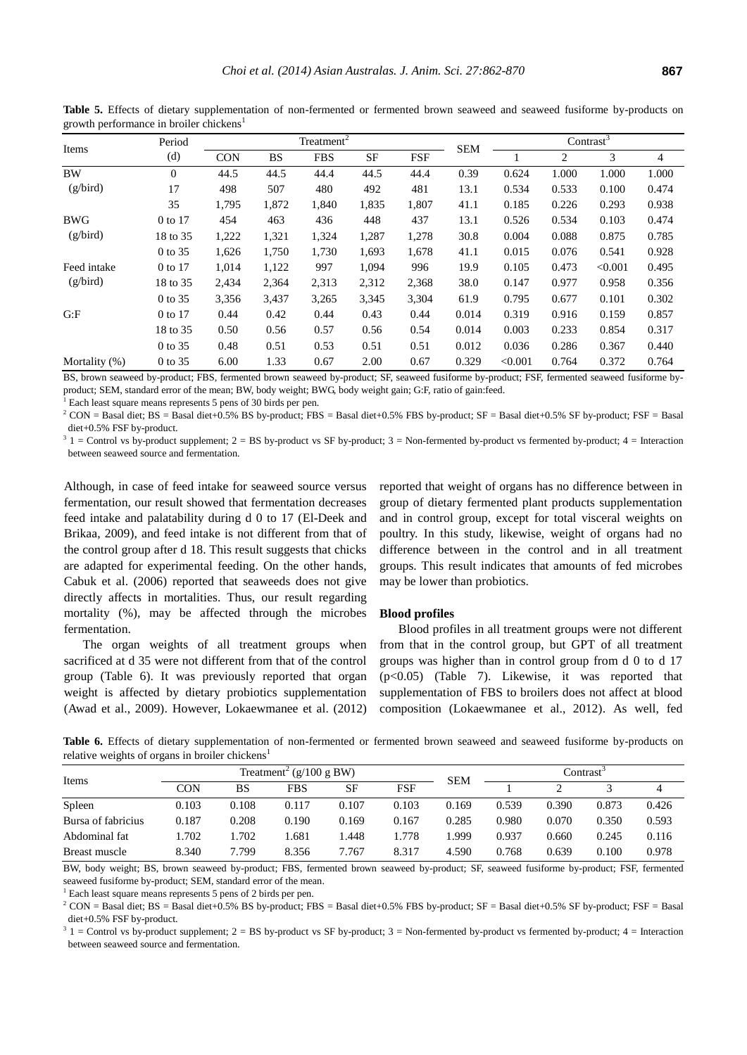|                                                                                  | Period         |       |       | Treatment <sup>2</sup> |                |       | Contrast <sup><math>\overline{3}</math></sup> |         |       |         |       |
|----------------------------------------------------------------------------------|----------------|-------|-------|------------------------|----------------|-------|-----------------------------------------------|---------|-------|---------|-------|
| Items<br>(d)<br><b>SF</b><br><b>FSF</b><br><b>CON</b><br><b>BS</b><br><b>FBS</b> | <b>SEM</b>     |       | 2     | 3                      | $\overline{4}$ |       |                                               |         |       |         |       |
| <b>BW</b>                                                                        | $\overline{0}$ | 44.5  | 44.5  | 44.4                   | 44.5           | 44.4  | 0.39                                          | 0.624   | 1.000 | 1.000   | 1.000 |
| (g/bird)                                                                         | 17             | 498   | 507   | 480                    | 492            | 481   | 13.1                                          | 0.534   | 0.533 | 0.100   | 0.474 |
|                                                                                  | 35             | 1,795 | 1,872 | 1,840                  | 1,835          | 1,807 | 41.1                                          | 0.185   | 0.226 | 0.293   | 0.938 |
| <b>BWG</b>                                                                       | 0 to 17        | 454   | 463   | 436                    | 448            | 437   | 13.1                                          | 0.526   | 0.534 | 0.103   | 0.474 |
| (g/bird)                                                                         | 18 to 35       | 1,222 | 1,321 | 1,324                  | 1,287          | 1,278 | 30.8                                          | 0.004   | 0.088 | 0.875   | 0.785 |
|                                                                                  | 0 to 35        | 1,626 | 1,750 | 1,730                  | 1,693          | 1,678 | 41.1                                          | 0.015   | 0.076 | 0.541   | 0.928 |
| Feed intake                                                                      | 0 to 17        | 1,014 | 1,122 | 997                    | 1,094          | 996   | 19.9                                          | 0.105   | 0.473 | < 0.001 | 0.495 |
| (g/bird)                                                                         | 18 to 35       | 2,434 | 2,364 | 2,313                  | 2,312          | 2,368 | 38.0                                          | 0.147   | 0.977 | 0.958   | 0.356 |
|                                                                                  | 0 to 35        | 3,356 | 3,437 | 3,265                  | 3,345          | 3,304 | 61.9                                          | 0.795   | 0.677 | 0.101   | 0.302 |
| G: F                                                                             | 0 to 17        | 0.44  | 0.42  | 0.44                   | 0.43           | 0.44  | 0.014                                         | 0.319   | 0.916 | 0.159   | 0.857 |
|                                                                                  | 18 to 35       | 0.50  | 0.56  | 0.57                   | 0.56           | 0.54  | 0.014                                         | 0.003   | 0.233 | 0.854   | 0.317 |
|                                                                                  | 0 to 35        | 0.48  | 0.51  | 0.53                   | 0.51           | 0.51  | 0.012                                         | 0.036   | 0.286 | 0.367   | 0.440 |
| Mortality (%)                                                                    | 0 to 35        | 6.00  | 1.33  | 0.67                   | 2.00           | 0.67  | 0.329                                         | < 0.001 | 0.764 | 0.372   | 0.764 |

**Table 5.** Effects of dietary supplementation of non-fermented or fermented brown seaweed and seaweed fusiforme by-products on growth performance in broiler chickens<sup>1</sup>

BS, brown seaweed by-product; FBS, fermented brown seaweed by-product; SF, seaweed fusiforme by-product; FSF, fermented seaweed fusiforme byproduct; SEM, standard error of the mean; BW, body weight; BWG, body weight gain; G:F, ratio of gain:feed.

<sup>1</sup> Each least square means represents 5 pens of 30 birds per pen.

 $2$  CON = Basal diet; BS = Basal diet+0.5% BS by-product; FBS = Basal diet+0.5% FBS by-product; SF = Basal diet+0.5% SF by-product; FSF = Basal diet+0.5% FSF by-product.

 $3 \ 1 =$  Control vs by-product supplement;  $2 = BS$  by-product vs SF by-product;  $3 =$  Non-fermented by-product vs fermented by-product;  $4 =$  Interaction between seaweed source and fermentation.

Although, in case of feed intake for seaweed source versus fermentation, our result showed that fermentation decreases feed intake and palatability during d 0 to 17 (El-Deek and Brikaa, 2009), and feed intake is not different from that of the control group after d 18. This result suggests that chicks are adapted for experimental feeding. On the other hands, Cabuk et al. (2006) reported that seaweeds does not give directly affects in mortalities. Thus, our result regarding mortality (%), may be affected through the microbes fermentation.

The organ weights of all treatment groups when sacrificed at d 35 were not different from that of the control group (Table 6). It was previously reported that organ weight is affected by dietary probiotics supplementation (Awad et al., 2009). However, Lokaewmanee et al. (2012) reported that weight of organs has no difference between in group of dietary fermented plant products supplementation and in control group, except for total visceral weights on poultry. In this study, likewise, weight of organs had no difference between in the control and in all treatment groups. This result indicates that amounts of fed microbes may be lower than probiotics.

#### **Blood profiles**

Blood profiles in all treatment groups were not different from that in the control group, but GPT of all treatment groups was higher than in control group from d 0 to d 17 (p<0.05) (Table 7). Likewise, it was reported that supplementation of FBS to broilers does not affect at blood composition (Lokaewmanee et al., 2012). As well, fed

**Table 6.** Effects of dietary supplementation of non-fermented or fermented brown seaweed and seaweed fusiforme by-products on relative weights of organs in broiler chickens<sup>1</sup>

| Items              | Treatment <sup>2</sup> ( $g/100 g$ BW) |       |       |       |       |            | Contrast <sup>.</sup> |       |       |       |
|--------------------|----------------------------------------|-------|-------|-------|-------|------------|-----------------------|-------|-------|-------|
|                    | CON                                    | BS    | FBS   | SF    | FSF   | <b>SEM</b> |                       |       |       |       |
| Spleen             | 0.103                                  | 0.108 | 0.117 | 0.107 | 0.103 | 0.169      | 0.539                 | 0.390 | 0.873 | 0.426 |
| Bursa of fabricius | 0.187                                  | 0.208 | 0.190 | 0.169 | 0.167 | 0.285      | 0.980                 | 0.070 | 0.350 | 0.593 |
| Abdominal fat      | l.702                                  | .702  | 1.681 | .448  | 1.778 | .999       | 0.937                 | 0.660 | 0.245 | 0.116 |
| Breast muscle      | 8.340                                  | 7.799 | 8.356 | 7.767 | 8.317 | 4.590      | 0.768                 | 0.639 | 0.100 | 0.978 |

BW, body weight; BS, brown seaweed by-product; FBS, fermented brown seaweed by-product; SF, seaweed fusiforme by-product; FSF, fermented seaweed fusiforme by-product; SEM, standard error of the mean.

 $<sup>1</sup>$  Each least square means represents 5 pens of 2 birds per pen.</sup>

 $2$  CON = Basal diet; BS = Basal diet+0.5% BS by-product; FBS = Basal diet+0.5% FBS by-product; SF = Basal diet+0.5% SF by-product; FSF = Basal diet+0.5% FSF by-product.

 $3 \quad 1 =$  Control vs by-product supplement;  $2 = BS$  by-product vs SF by-product;  $3 = Non-fermented$  by-product vs fermented by-product;  $4 = Interation$ between seaweed source and fermentation.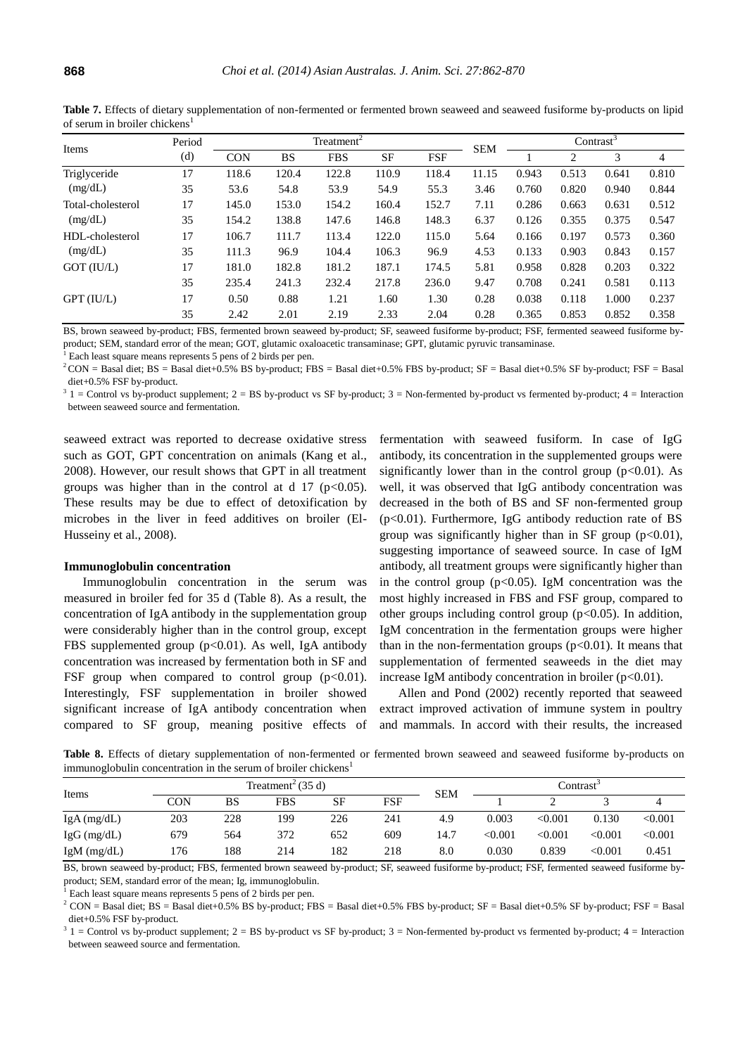| Items             | Period | Treatment <sup>2</sup> |           |            |           |            |            | Contrast |        |       |       |
|-------------------|--------|------------------------|-----------|------------|-----------|------------|------------|----------|--------|-------|-------|
|                   | (d)    | <b>CON</b>             | <b>BS</b> | <b>FBS</b> | <b>SF</b> | <b>FSF</b> | <b>SEM</b> |          | 3<br>2 | 4     |       |
| Triglyceride      | 17     | 118.6                  | 120.4     | 122.8      | 110.9     | 118.4      | 11.15      | 0.943    | 0.513  | 0.641 | 0.810 |
| (mg/dL)           | 35     | 53.6                   | 54.8      | 53.9       | 54.9      | 55.3       | 3.46       | 0.760    | 0.820  | 0.940 | 0.844 |
| Total-cholesterol | 17     | 145.0                  | 153.0     | 154.2      | 160.4     | 152.7      | 7.11       | 0.286    | 0.663  | 0.631 | 0.512 |
| (mg/dL)           | 35     | 154.2                  | 138.8     | 147.6      | 146.8     | 148.3      | 6.37       | 0.126    | 0.355  | 0.375 | 0.547 |
| HDL-cholesterol   | 17     | 106.7                  | 111.7     | 113.4      | 122.0     | 115.0      | 5.64       | 0.166    | 0.197  | 0.573 | 0.360 |
| (mg/dL)           | 35     | 111.3                  | 96.9      | 104.4      | 106.3     | 96.9       | 4.53       | 0.133    | 0.903  | 0.843 | 0.157 |
| GOT (IU/L)        | 17     | 181.0                  | 182.8     | 181.2      | 187.1     | 174.5      | 5.81       | 0.958    | 0.828  | 0.203 | 0.322 |
|                   | 35     | 235.4                  | 241.3     | 232.4      | 217.8     | 236.0      | 9.47       | 0.708    | 0.241  | 0.581 | 0.113 |
| $GPT$ (IU/L)      | 17     | 0.50                   | 0.88      | 1.21       | 1.60      | 1.30       | 0.28       | 0.038    | 0.118  | 1.000 | 0.237 |
|                   | 35     | 2.42                   | 2.01      | 2.19       | 2.33      | 2.04       | 0.28       | 0.365    | 0.853  | 0.852 | 0.358 |

**Table 7.** Effects of dietary supplementation of non-fermented or fermented brown seaweed and seaweed fusiforme by-products on lipid of serum in broiler chickens<sup>1</sup>

BS, brown seaweed by-product; FBS, fermented brown seaweed by-product; SF, seaweed fusiforme by-product; FSF, fermented seaweed fusiforme byproduct; SEM, standard error of the mean; GOT[, glutamic oxaloacetic transaminase;](http://terms.naver.com/entry.nhn?docId=479579&cid=2905&categoryId=2905) GPT, glutamic pyruvic transaminase.

<sup>1</sup> Each least square means represents 5 pens of 2 birds per pen.

 $2$  CON = Basal diet; BS = Basal diet+0.5% BS by-product; FBS = Basal diet+0.5% FBS by-product; SF = Basal diet+0.5% SF by-product; FSF = Basal diet+0.5% FSF by-product.

 $3 \ 1 =$  Control vs by-product supplement;  $2 = BS$  by-product vs SF by-product;  $3 =$  Non-fermented by-product vs fermented by-product;  $4 =$  Interaction between seaweed source and fermentation.

seaweed extract was reported to decrease oxidative stress such as GOT, GPT concentration on animals (Kang et al., 2008). However, our result shows that GPT in all treatment groups was higher than in the control at d 17 ( $p<0.05$ ). These results may be due to effect of detoxification by microbes in the liver in feed additives on broiler (El-Husseiny et al., 2008).

#### **Immunoglobulin concentration**

Immunoglobulin concentration in the serum was measured in broiler fed for 35 d (Table 8). As a result, the concentration of IgA antibody in the supplementation group were considerably higher than in the control group, except FBS supplemented group (p<0.01). As well, IgA antibody concentration was increased by fermentation both in SF and FSF group when compared to control group  $(p<0.01)$ . Interestingly, FSF supplementation in broiler showed significant increase of IgA antibody concentration when compared to SF group, meaning positive effects of fermentation with seaweed fusiform. In case of IgG antibody, its concentration in the supplemented groups were significantly lower than in the control group  $(p<0.01)$ . As well, it was observed that IgG antibody concentration was decreased in the both of BS and SF non-fermented group  $(p<0.01)$ . Furthermore, IgG antibody reduction rate of BS group was significantly higher than in SF group  $(p<0.01)$ , suggesting importance of seaweed source. In case of IgM antibody, all treatment groups were significantly higher than in the control group  $(p<0.05)$ . IgM concentration was the most highly increased in FBS and FSF group, compared to other groups including control group  $(p<0.05)$ . In addition, IgM concentration in the fermentation groups were higher than in the non-fermentation groups  $(p<0.01)$ . It means that supplementation of fermented seaweeds in the diet may increase IgM antibody concentration in broiler  $(p<0.01)$ .

Allen and Pond (2002) recently reported that seaweed extract improved activation of immune system in poultry and mammals. In accord with their results, the increased

Table 8. Effects of dietary supplementation of non-fermented or fermented brown seaweed and seaweed fusiforme by-products on immunoglobulin concentration in the serum of broiler chickens<sup>1</sup>

| Items       |     | Treatment <sup>2</sup> (35 d) |            |           |     |            |         | Contrast <sup>3</sup> |              |         |  |
|-------------|-----|-------------------------------|------------|-----------|-----|------------|---------|-----------------------|--------------|---------|--|
|             | CON | BS                            | <b>FBS</b> | <b>SF</b> | FSF | <b>SEM</b> |         |                       |              |         |  |
| IgA(mg/dL)  | 203 | 228                           | 199        | 226       | 241 | 4.9        | 0.003   | < 0.001               | 0.130        | < 0.001 |  |
| IgG (mg/dL) | 679 | 564                           | 372        | 652       | 609 | 14.7       | < 0.001 | < 0.001               | $<\!\!0.001$ | < 0.001 |  |
| IgM (mg/dL) | 176 | 188                           | 214        | 182       | 218 | 8.0        | 0.030   | 0.839                 | $<\!\!0.001$ | 0.451   |  |

BS, brown seaweed by-product; FBS, fermented brown seaweed by-product; SF, seaweed fusiforme by-product; FSF, fermented seaweed fusiforme byproduct; SEM, standard error of the mean; Ig, immunoglobulin.

Each least square means represents 5 pens of 2 birds per pen.

 $2$  CON = Basal diet; BS = Basal diet+0.5% BS by-product; FBS = Basal diet+0.5% FBS by-product; SF = Basal diet+0.5% SF by-product; FSF = Basal diet+0.5% FSF by-product.

 $3 \quad 1 =$  Control vs by-product supplement;  $2 = BS$  by-product vs SF by-product;  $3 = Non-fermented$  by-product vs fermented by-product;  $4 = Interation$ between seaweed source and fermentation.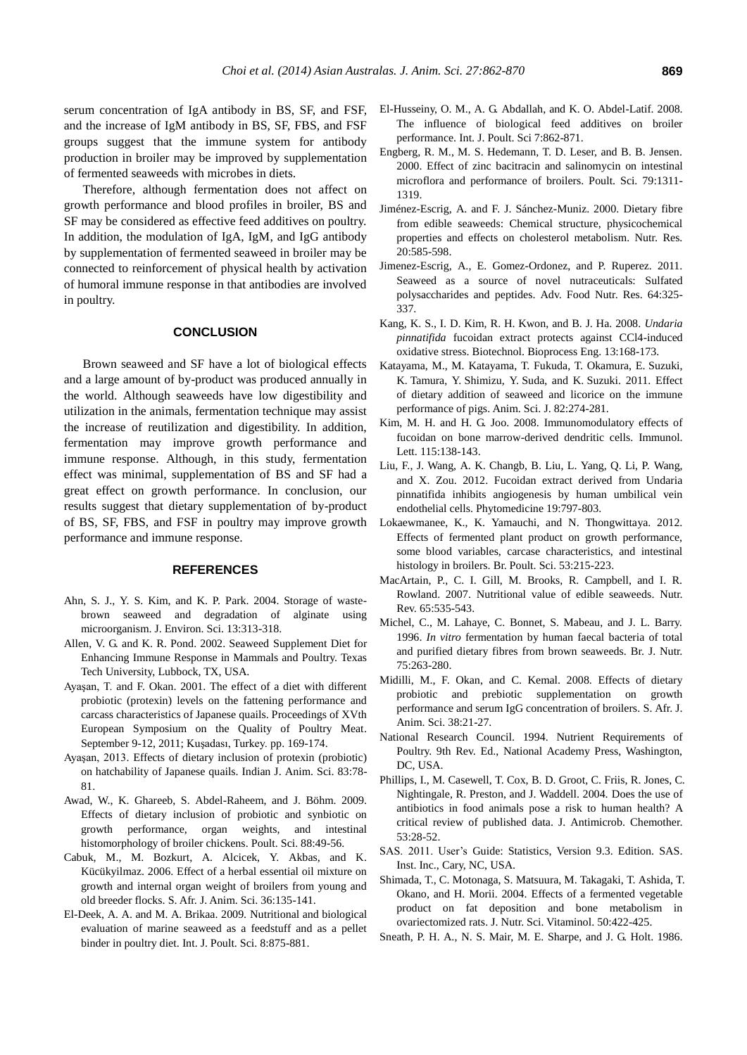serum concentration of IgA antibody in BS, SF, and FSF, and the increase of IgM antibody in BS, SF, FBS, and FSF groups suggest that the immune system for antibody production in broiler may be improved by supplementation of fermented seaweeds with microbes in diets.

Therefore, although fermentation does not affect on growth performance and blood profiles in broiler, BS and SF may be considered as effective feed additives on poultry. In addition, the modulation of IgA, IgM, and IgG antibody by supplementation of fermented seaweed in broiler may be connected to reinforcement of physical health by activation of humoral immune response in that antibodies are involved in poultry.

## **CONCLUSION**

Brown seaweed and SF have a lot of biological effects and a large amount of by-product was produced annually in the world. Although seaweeds have low digestibility and utilization in the animals, fermentation technique may assist the increase of reutilization and digestibility. In addition, fermentation may improve growth performance and immune response. Although, in this study, fermentation effect was minimal, supplementation of BS and SF had a great effect on growth performance. In conclusion, our results suggest that dietary supplementation of by-product of BS, SF, FBS, and FSF in poultry may improve growth performance and immune response.

# **REFERENCES**

- Ahn, S. J., Y. S. Kim, and K. P. Park. 2004. Storage of wastebrown seaweed and degradation of alginate using microorganism. J. Environ. Sci. 13:313-318.
- Allen, V. G. and K. R. Pond. 2002. Seaweed Supplement Diet for Enhancing Immune Response in Mammals and Poultry. Texas Tech University, Lubbock, TX, USA.
- Ayaşan, T. and F. Okan. 2001. The effect of a diet with different probiotic (protexin) levels on the fattening performance and carcass characteristics of Japanese quails. Proceedings of XVth European Symposium on the Quality of Poultry Meat. September 9-12, 2011; Kuşadası, Turkey. pp. 169-174.
- Ayaşan, 2013. Effects of dietary inclusion of protexin (probiotic) on hatchability of Japanese quails. Indian J. Anim. Sci. 83:78- 81.
- Awad, W., K. Ghareeb, S. Abdel-Raheem, and J. Böhm. 2009. [Effects of dietary inclusion of probiotic and synbiotic on](http://ps.oxfordjournals.org/content/88/1/49)  [growth performance, organ weights, and intestinal](http://ps.oxfordjournals.org/content/88/1/49)  [histomorphology of broiler chickens.](http://ps.oxfordjournals.org/content/88/1/49) Poult. Sci. 88:49-56.
- Cabuk, M., M. Bozkurt, A. Alcicek, Y. Akbas, and K. Kücükyilmaz. 2006. [Effect of a herbal essential oil mixture on](http://www.ajol.info/index.php/sajas/article/view/3996)  [growth and internal organ weight of broilers from young and](http://www.ajol.info/index.php/sajas/article/view/3996)  [old breeder flocks.](http://www.ajol.info/index.php/sajas/article/view/3996) S. Afr. J. Anim. Sci. 36:135-141.
- El-Deek, A. A. and M. A. Brikaa. 2009. [Nutritional and biological](http://free-journal.umm.ac.id/files/file/Nutritional%20and%20Biological%20Evaluation.pdf)  [evaluation of marine seaweed as a feedstuff and as a pellet](http://free-journal.umm.ac.id/files/file/Nutritional%20and%20Biological%20Evaluation.pdf)  [binder in poultry diet.](http://free-journal.umm.ac.id/files/file/Nutritional%20and%20Biological%20Evaluation.pdf) Int. J. Poult. Sci. 8:875-881.
- El-Husseiny, O. M., A. G. Abdallah, and K. O. Abdel-Latif. 2008. [The influence of biological feed additives on broiler](http://free-journal.umm.ac.id/files/file/The%20Influence%20of%20Biological%20Feed%20Additives%20on%20Broiler%20Performance.pdf)  [performance.](http://free-journal.umm.ac.id/files/file/The%20Influence%20of%20Biological%20Feed%20Additives%20on%20Broiler%20Performance.pdf) Int. J. Poult. Sci 7:862-871.
- Engberg, R. M., M. S. Hedemann, T. D. Leser, and B. B. Jensen. 2000. [Effect of zinc bacitracin and salinomycin on intestinal](http://ps.oxfordjournals.org/content/79/9/1311)  [microflora and performance of broilers.](http://ps.oxfordjournals.org/content/79/9/1311) Poult. Sci. 79:1311- 1319.
- Jiménez-Escrig, A. and F. J. Sánchez-Muniz. 2000. [Dietary fibre](http://www.sciencedirect.com/science/article/pii/S0271531700001494)  [from edible seaweeds: Chemical structure, physicochemical](http://www.sciencedirect.com/science/article/pii/S0271531700001494)  [properties and effects on cholesterol metabolism.](http://www.sciencedirect.com/science/article/pii/S0271531700001494) Nutr. Res. 20:585-598.
- Jimenez-Escrig, A., E. Gomez-Ordonez, and P. Ruperez. 2011. Seaweed as a source of novel nutraceuticals: Sulfated polysaccharides and peptides. Adv. Food Nutr. Res. 64:325- 337.
- Kang, K. S., I. D. Kim, R. H. Kwon, and B. J. Ha. 2008. *[Undaria](http://link.springer.com/article/10.1007/s12257-007-0101-1)  pinnatifida* [fucoidan extract protects against CCl4-induced](http://link.springer.com/article/10.1007/s12257-007-0101-1)  [oxidative stress.](http://link.springer.com/article/10.1007/s12257-007-0101-1) Biotechnol. Bioprocess Eng. 13:168-173.
- Katayama, M., M. Katayama, T. Fukuda, T. Okamura, E. Suzuki, K. Tamura, Y. Shimizu, Y. Suda, and K. Suzuki. 2011. [Effect](http://onlinelibrary.wiley.com/doi/10.1111/j.1740-0929.2010.00826.x/abstract;jsessionid=06570FC2707BFE18F32528744F4072E1.f02t01?deniedAccessCustomisedMessage=&userIsAuthenticated=false)  [of dietary addition of seaweed and licorice on the immune](http://onlinelibrary.wiley.com/doi/10.1111/j.1740-0929.2010.00826.x/abstract;jsessionid=06570FC2707BFE18F32528744F4072E1.f02t01?deniedAccessCustomisedMessage=&userIsAuthenticated=false)  [performance of pigs.](http://onlinelibrary.wiley.com/doi/10.1111/j.1740-0929.2010.00826.x/abstract;jsessionid=06570FC2707BFE18F32528744F4072E1.f02t01?deniedAccessCustomisedMessage=&userIsAuthenticated=false) Anim. Sci. J. 82:274-281.
- Kim, M. H. and H. G. Joo. 2008. [Immunomodulatory effects of](http://www.sciencedirect.com/science/article/pii/S0165247807002830)  [fucoidan on bone marrow-derived dendritic cells.](http://www.sciencedirect.com/science/article/pii/S0165247807002830) Immunol. Lett. 115:138-143.
- Liu, F., J. Wang, A. K. Changb, B. Liu, L. Yang, Q. Li, P. Wang, and X. Zou. 2012. [Fucoidan extract derived from Undaria](http://www.sciencedirect.com/science/article/pii/S0944711312000992)  [pinnatifida inhibits angiogenesis by human umbilical vein](http://www.sciencedirect.com/science/article/pii/S0944711312000992)  [endothelial cells.](http://www.sciencedirect.com/science/article/pii/S0944711312000992) Phytomedicine 19:797-803.
- Lokaewmanee, K., K. Yamauchi, and N. Thongwittaya. 2012. [Effects of fermented plant product on growth performance,](http://www.tandfonline.com/doi/abs/10.1080/00071668.2012.665435#.UzJpIfl_vuM)  [some blood variables, carcase characteristics, and intestinal](http://www.tandfonline.com/doi/abs/10.1080/00071668.2012.665435#.UzJpIfl_vuM)  [histology in broilers.](http://www.tandfonline.com/doi/abs/10.1080/00071668.2012.665435#.UzJpIfl_vuM) Br. Poult. Sci. 53:215-223.
- MacArtain, P., C. I. Gill, M. Brooks, R. Campbell, and I. R. Rowland. 2007. [Nutritional value of edible seaweeds.](http://onlinelibrary.wiley.com/doi/10.1111/j.1753-4887.2007.tb00278.x/abstract?deniedAccessCustomisedMessage=&userIsAuthenticated=false) Nutr. Rev. 65:535-543.
- Michel, C., M. Lahaye, C. Bonnet, S. Mabeau, and J. L. Barry. 1996. *In vitro* fermentation by human faecal bacteria of total and purified dietary fibres from brown seaweeds. Br. J. Nutr. 75:263-280.
- Midilli, M., F. Okan, and C. Kemal. 2008. [Effects of dietary](http://www.ajol.info/index.php/sajas/article/view/4104)  [probiotic and prebiotic supplementation on growth](http://www.ajol.info/index.php/sajas/article/view/4104)  [performance and serum IgG concentration of broilers.](http://www.ajol.info/index.php/sajas/article/view/4104) S. Afr. J. Anim. Sci. 38:21-27.
- National Research Council. 1994. Nutrient Requirements of Poultry. 9th Rev. Ed., National Academy Press, Washington, DC, USA.
- Phillips, I., M. Casewell, T. Cox, B. D. Groot, C. Friis, R. Jones, C. Nightingale, R. Preston, and J. Waddell. 2004. [Does the use of](http://jac.oxfordjournals.org/content/53/1/28.short)  [antibiotics in food animals pose a risk to human health? A](http://jac.oxfordjournals.org/content/53/1/28.short)  [critical review of published data.](http://jac.oxfordjournals.org/content/53/1/28.short) J. Antimicrob. Chemother. 53:28-52.
- SAS. 2011. User's Guide: Statistics, Version 9.3. Edition. SAS. Inst. Inc., Cary, NC, USA.
- Shimada, T., C. Motonaga, S. Matsuura, M. Takagaki, T. Ashida, T. Okano, and H. Morii. 2004. [Effects of a fermented vegetable](https://www.jstage.jst.go.jp/article/jnsv1973/50/6/50_6_422/_article)  [product on fat deposition and bone metabolism in](https://www.jstage.jst.go.jp/article/jnsv1973/50/6/50_6_422/_article)  [ovariectomized rats.](https://www.jstage.jst.go.jp/article/jnsv1973/50/6/50_6_422/_article) J. Nutr. Sci. Vitaminol. 50:422-425.
- Sneath, P. H. A., N. S. Mair, M. E. Sharpe, and J. G. Holt. 1986.